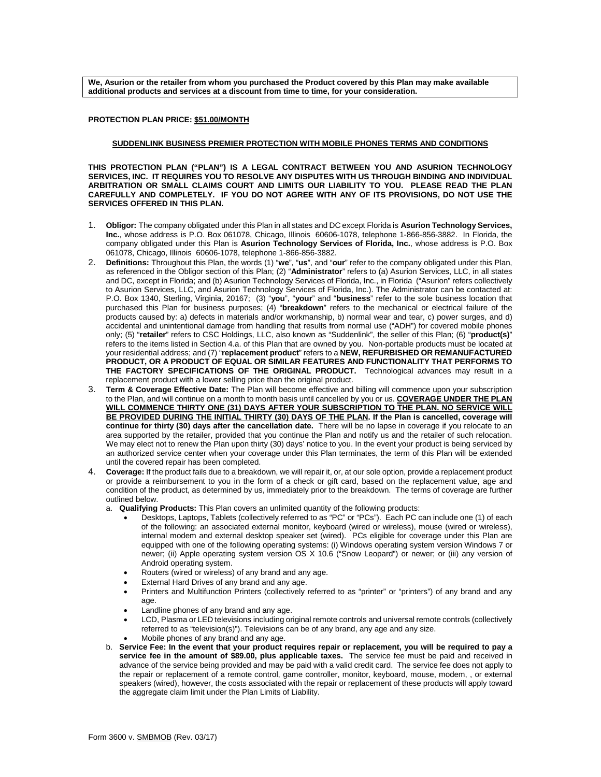**We, Asurion or the retailer from whom you purchased the Product covered by this Plan may make available additional products and services at a discount from time to time, for your consideration.** 

## **PROTECTION PLAN PRICE: \$51.00/MONTH**

## **SUDDENLINK BUSINESS PREMIER PROTECTION WITH MOBILE PHONES TERMS AND CONDITIONS**

**THIS PROTECTION PLAN ("PLAN") IS A LEGAL CONTRACT BETWEEN YOU AND ASURION TECHNOLOGY SERVICES, INC. IT REQUIRES YOU TO RESOLVE ANY DISPUTES WITH US THROUGH BINDING AND INDIVIDUAL ARBITRATION OR SMALL CLAIMS COURT AND LIMITS OUR LIABILITY TO YOU. PLEASE READ THE PLAN CAREFULLY AND COMPLETELY. IF YOU DO NOT AGREE WITH ANY OF ITS PROVISIONS, DO NOT USE THE SERVICES OFFERED IN THIS PLAN.**

- 1. **Obligor:** The company obligated under this Plan in all states and DC except Florida is **Asurion Technology Services, Inc.**, whose address is P.O. Box 061078, Chicago, Illinois 60606-1078, telephone 1-866-856-3882. In Florida, the company obligated under this Plan is **Asurion Technology Services of Florida, Inc.**, whose address is P.O. Box 061078, Chicago, Illinois 60606-1078, telephone 1-866-856-3882.
- 2. **Definitions:** Throughout this Plan, the words (1) "**we**", "**us**", and "**our**" refer to the company obligated under this Plan, as referenced in the Obligor section of this Plan; (2) "**Administrator**" refers to (a) Asurion Services, LLC, in all states and DC, except in Florida; and (b) Asurion Technology Services of Florida, Inc., in Florida ("Asurion" refers collectively to Asurion Services, LLC, and Asurion Technology Services of Florida, Inc.). The Administrator can be contacted at: P.O. Box 1340, Sterling, Virginia, 20167; (3) "**you**", "**your**" and "**business**" refer to the sole business location that purchased this Plan for business purposes; (4) "**breakdown**" refers to the mechanical or electrical failure of the products caused by: a) defects in materials and/or workmanship, b) normal wear and tear, c) power surges, and d) accidental and unintentional damage from handling that results from normal use ("ADH") for covered mobile phones only; (5) "**retailer**" refers to CSC Holdings, LLC, also known as "Suddenlink", the seller of this Plan; (6) "**product(s)**" refers to the items listed in Section 4.a. of this Plan that are owned by you. Non-portable products must be located at your residential address; and (7) "**replacement product**" refers to a **NEW, REFURBISHED OR REMANUFACTURED PRODUCT, OR A PRODUCT OF EQUAL OR SIMILAR FEATURES AND FUNCTIONALITY THAT PERFORMS TO THE FACTORY SPECIFICATIONS OF THE ORIGINAL PRODUCT.** Technological advances may result in a replacement product with a lower selling price than the original product.
- 3. **Term & Coverage Effective Date:** The Plan will become effective and billing will commence upon your subscription to the Plan, and will continue on a month to month basis until cancelled by you or us. **COVERAGE UNDER THE PLAN**  WILL COMMENCE THIRTY ONE (31) DAYS AFTER YOUR SUBSCRIPTION TO THE PLAN. NO SERVICE WILL **BE PROVIDED DURING THE INITIAL THIRTY (30) DAYS OF THE PLAN. If the Plan is cancelled, coverage will continue for thirty (30) days after the cancellation date.** There will be no lapse in coverage if you relocate to an area supported by the retailer, provided that you continue the Plan and notify us and the retailer of such relocation. We may elect not to renew the Plan upon thirty (30) days' notice to you. In the event your product is being serviced by an authorized service center when your coverage under this Plan terminates, the term of this Plan will be extended until the covered repair has been completed.
- 4. **Coverage:** If the product fails due to a breakdown, we will repair it, or, at our sole option, provide a replacement product or provide a reimbursement to you in the form of a check or gift card, based on the replacement value, age and condition of the product, as determined by us, immediately prior to the breakdown. The terms of coverage are further outlined below.
	- a. **Qualifying Products:** This Plan covers an unlimited quantity of the following products:
		- Desktops, Laptops, Tablets (collectively referred to as "PC" or "PCs"). Each PC can include one (1) of each of the following: an associated external monitor, keyboard (wired or wireless), mouse (wired or wireless), internal modem and external desktop speaker set (wired). PCs eligible for coverage under this Plan are equipped with one of the following operating systems: (i) Windows operating system version Windows 7 or newer; (ii) Apple operating system version OS X 10.6 ("Snow Leopard") or newer; or (iii) any version of Android operating system.
		- Routers (wired or wireless) of any brand and any age.
		- External Hard Drives of any brand and any age.
		- Printers and Multifunction Printers (collectively referred to as "printer" or "printers") of any brand and any age.
		- Landline phones of any brand and any age.
		- LCD, Plasma or LED televisions including original remote controls and universal remote controls (collectively referred to as "television(s)"). Televisions can be of any brand, any age and any size.
		- Mobile phones of any brand and any age.
	- b. **Service Fee: In the event that your product requires repair or replacement, you will be required to pay a service fee in the amount of \$89.00, plus applicable taxes.** The service fee must be paid and received in advance of the service being provided and may be paid with a valid credit card. The service fee does not apply to the repair or replacement of a remote control, game controller, monitor, keyboard, mouse, modem, , or external speakers (wired), however, the costs associated with the repair or replacement of these products will apply toward the aggregate claim limit under the Plan Limits of Liability.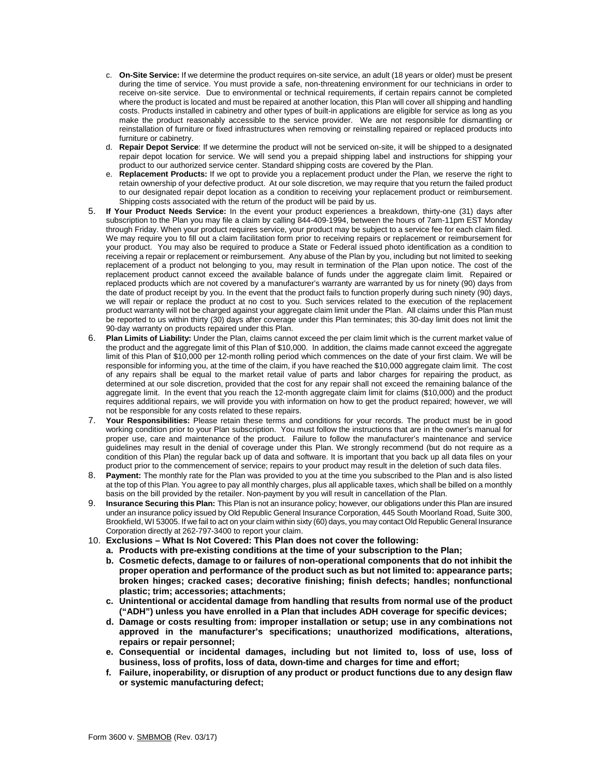- c. **On-Site Service:** If we determine the product requires on-site service, an adult (18 years or older) must be present during the time of service. You must provide a safe, non-threatening environment for our technicians in order to receive on-site service. Due to environmental or technical requirements, if certain repairs cannot be completed where the product is located and must be repaired at another location, this Plan will cover all shipping and handling costs. Products installed in cabinetry and other types of built-in applications are eligible for service as long as you make the product reasonably accessible to the service provider. We are not responsible for dismantling or reinstallation of furniture or fixed infrastructures when removing or reinstalling repaired or replaced products into furniture or cabinetry.
- d. **Repair Depot Service**: If we determine the product will not be serviced on-site, it will be shipped to a designated repair depot location for service. We will send you a prepaid shipping label and instructions for shipping your product to our authorized service center. Standard shipping costs are covered by the Plan.
- e. **Replacement Products:** If we opt to provide you a replacement product under the Plan, we reserve the right to retain ownership of your defective product. At our sole discretion, we may require that you return the failed product to our designated repair depot location as a condition to receiving your replacement product or reimbursement. Shipping costs associated with the return of the product will be paid by us.
- 5. **If Your Product Needs Service:** In the event your product experiences a breakdown, thirty-one (31) days after subscription to the Plan you may file a claim by calling 844-409-1994, between the hours of 7am-11pm EST Monday through Friday. When your product requires service, your product may be subject to a service fee for each claim filed. We may require you to fill out a claim facilitation form prior to receiving repairs or replacement or reimbursement for your product. You may also be required to produce a State or Federal issued photo identification as a condition to receiving a repair or replacement or reimbursement. Any abuse of the Plan by you, including but not limited to seeking replacement of a product not belonging to you, may result in termination of the Plan upon notice. The cost of the replacement product cannot exceed the available balance of funds under the aggregate claim limit. Repaired or replaced products which are not covered by a manufacturer's warranty are warranted by us for ninety (90) days from the date of product receipt by you. In the event that the product fails to function properly during such ninety (90) days, we will repair or replace the product at no cost to you. Such services related to the execution of the replacement product warranty will not be charged against your aggregate claim limit under the Plan. All claims under this Plan must be reported to us within thirty (30) days after coverage under this Plan terminates; this 30-day limit does not limit the 90-day warranty on products repaired under this Plan.
- 6. **Plan Limits of Liability:** Under the Plan, claims cannot exceed the per claim limit which is the current market value of the product and the aggregate limit of this Plan of \$10,000. In addition, the claims made cannot exceed the aggregate limit of this Plan of \$10,000 per 12-month rolling period which commences on the date of your first claim. We will be responsible for informing you, at the time of the claim, if you have reached the \$10,000 aggregate claim limit. The cost of any repairs shall be equal to the market retail value of parts and labor charges for repairing the product, as determined at our sole discretion, provided that the cost for any repair shall not exceed the remaining balance of the aggregate limit. In the event that you reach the 12-month aggregate claim limit for claims (\$10,000) and the product requires additional repairs, we will provide you with information on how to get the product repaired; however, we will not be responsible for any costs related to these repairs.
- 7. **Your Responsibilities:** Please retain these terms and conditions for your records. The product must be in good working condition prior to your Plan subscription. You must follow the instructions that are in the owner's manual for proper use, care and maintenance of the product. Failure to follow the manufacturer's maintenance and service guidelines may result in the denial of coverage under this Plan. We strongly recommend (but do not require as a condition of this Plan) the regular back up of data and software. It is important that you back up all data files on your product prior to the commencement of service; repairs to your product may result in the deletion of such data files.
- 8. **Payment:** The monthly rate for the Plan was provided to you at the time you subscribed to the Plan and is also listed at the top of this Plan. You agree to pay all monthly charges, plus all applicable taxes, which shall be billed on a monthly basis on the bill provided by the retailer. Non-payment by you will result in cancellation of the Plan.
- 9. **Insurance Securing this Plan:** This Plan is not an insurance policy; however, our obligations under this Plan are insured under an insurance policy issued by Old Republic General Insurance Corporation, 445 South Moorland Road, Suite 300, Brookfield, WI 53005. If we fail to act on your claim within sixty (60) days, you may contact Old Republic General Insurance Corporation directly at 262-797-3400 to report your claim.
- 10. **Exclusions – What Is Not Covered: This Plan does not cover the following:**
	- **a. Products with pre-existing conditions at the time of your subscription to the Plan;**
	- **b. Cosmetic defects, damage to or failures of non-operational components that do not inhibit the proper operation and performance of the product such as but not limited to: appearance parts; broken hinges; cracked cases; decorative finishing; finish defects; handles; nonfunctional plastic; trim; accessories; attachments;**
	- **c. Unintentional or accidental damage from handling that results from normal use of the product ("ADH") unless you have enrolled in a Plan that includes ADH coverage for specific devices;**
	- **d. Damage or costs resulting from: improper installation or setup; use in any combinations not approved in the manufacturer's specifications; unauthorized modifications, alterations, repairs or repair personnel;**
	- **e. Consequential or incidental damages, including but not limited to, loss of use, loss of business, loss of profits, loss of data, down-time and charges for time and effort;**
	- **f. Failure, inoperability, or disruption of any product or product functions due to any design flaw or systemic manufacturing defect;**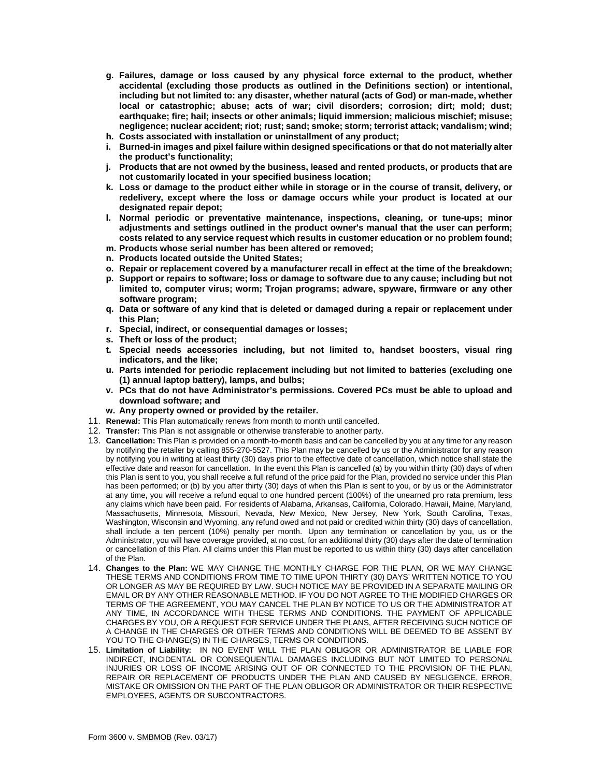- **g. Failures, damage or loss caused by any physical force external to the product, whether accidental (excluding those products as outlined in the Definitions section) or intentional, including but not limited to: any disaster, whether natural (acts of God) or man-made, whether local or catastrophic; abuse; acts of war; civil disorders; corrosion; dirt; mold; dust; earthquake; fire; hail; insects or other animals; liquid immersion; malicious mischief; misuse; negligence; nuclear accident; riot; rust; sand; smoke; storm; terrorist attack; vandalism; wind;**
- **h. Costs associated with installation or uninstallment of any product;**
- **i. Burned-in images and pixel failure within designed specifications or that do not materially alter the product's functionality;**
- **j. Products that are not owned by the business, leased and rented products, or products that are not customarily located in your specified business location;**
- **k. Loss or damage to the product either while in storage or in the course of transit, delivery, or redelivery, except where the loss or damage occurs while your product is located at our designated repair depot;**
- **l. Normal periodic or preventative maintenance, inspections, cleaning, or tune-ups; minor adjustments and settings outlined in the product owner's manual that the user can perform; costs related to any service request which results in customer education or no problem found;**
- **m. Products whose serial number has been altered or removed;**
- **n. Products located outside the United States;**
- **o. Repair or replacement covered by a manufacturer recall in effect at the time of the breakdown;**
- **p. Support or repairs to software; loss or damage to software due to any cause; including but not limited to, computer virus; worm; Trojan programs; adware, spyware, firmware or any other software program;**
- **q. Data or software of any kind that is deleted or damaged during a repair or replacement under this Plan;**
- **r. Special, indirect, or consequential damages or losses;**
- **s. Theft or loss of the product;**
- **t. Special needs accessories including, but not limited to, handset boosters, visual ring indicators, and the like;**
- **u. Parts intended for periodic replacement including but not limited to batteries (excluding one (1) annual laptop battery), lamps, and bulbs;**
- **v. PCs that do not have Administrator's permissions. Covered PCs must be able to upload and download software; and**
- **w. Any property owned or provided by the retailer.**
- 11. **Renewal:** This Plan automatically renews from month to month until cancelled.
- 12. **Transfer:** This Plan is not assignable or otherwise transferable to another party.
- 13. **Cancellation:** This Plan is provided on a month-to-month basis and can be cancelled by you at any time for any reason by notifying the retailer by calling 855-270-5527. This Plan may be cancelled by us or the Administrator for any reason by notifying you in writing at least thirty (30) days prior to the effective date of cancellation, which notice shall state the effective date and reason for cancellation. In the event this Plan is cancelled (a) by you within thirty (30) days of when this Plan is sent to you, you shall receive a full refund of the price paid for the Plan, provided no service under this Plan has been performed; or (b) by you after thirty (30) days of when this Plan is sent to you, or by us or the Administrator at any time, you will receive a refund equal to one hundred percent (100%) of the unearned pro rata premium, less any claims which have been paid. For residents of Alabama, Arkansas, California, Colorado, Hawaii, Maine, Maryland, Massachusetts, Minnesota, Missouri, Nevada, New Mexico, New Jersey, New York, South Carolina, Texas, Washington, Wisconsin and Wyoming, any refund owed and not paid or credited within thirty (30) days of cancellation, shall include a ten percent (10%) penalty per month. Upon any termination or cancellation by you, us or the Administrator, you will have coverage provided, at no cost, for an additional thirty (30) days after the date of termination or cancellation of this Plan. All claims under this Plan must be reported to us within thirty (30) days after cancellation of the Plan.
- 14. **Changes to the Plan:** WE MAY CHANGE THE MONTHLY CHARGE FOR THE PLAN, OR WE MAY CHANGE THESE TERMS AND CONDITIONS FROM TIME TO TIME UPON THIRTY (30) DAYS' WRITTEN NOTICE TO YOU OR LONGER AS MAY BE REQUIRED BY LAW. SUCH NOTICE MAY BE PROVIDED IN A SEPARATE MAILING OR EMAIL OR BY ANY OTHER REASONABLE METHOD. IF YOU DO NOT AGREE TO THE MODIFIED CHARGES OR TERMS OF THE AGREEMENT, YOU MAY CANCEL THE PLAN BY NOTICE TO US OR THE ADMINISTRATOR AT ANY TIME, IN ACCORDANCE WITH THESE TERMS AND CONDITIONS. THE PAYMENT OF APPLICABLE CHARGES BY YOU, OR A REQUEST FOR SERVICE UNDER THE PLANS, AFTER RECEIVING SUCH NOTICE OF A CHANGE IN THE CHARGES OR OTHER TERMS AND CONDITIONS WILL BE DEEMED TO BE ASSENT BY YOU TO THE CHANGE(S) IN THE CHARGES, TERMS OR CONDITIONS.
- 15. **Limitation of Liability:** IN NO EVENT WILL THE PLAN OBLIGOR OR ADMINISTRATOR BE LIABLE FOR INDIRECT, INCIDENTAL OR CONSEQUENTIAL DAMAGES INCLUDING BUT NOT LIMITED TO PERSONAL INJURIES OR LOSS OF INCOME ARISING OUT OF OR CONNECTED TO THE PROVISION OF THE PLAN, REPAIR OR REPLACEMENT OF PRODUCTS UNDER THE PLAN AND CAUSED BY NEGLIGENCE, ERROR, MISTAKE OR OMISSION ON THE PART OF THE PLAN OBLIGOR OR ADMINISTRATOR OR THEIR RESPECTIVE EMPLOYEES, AGENTS OR SUBCONTRACTORS.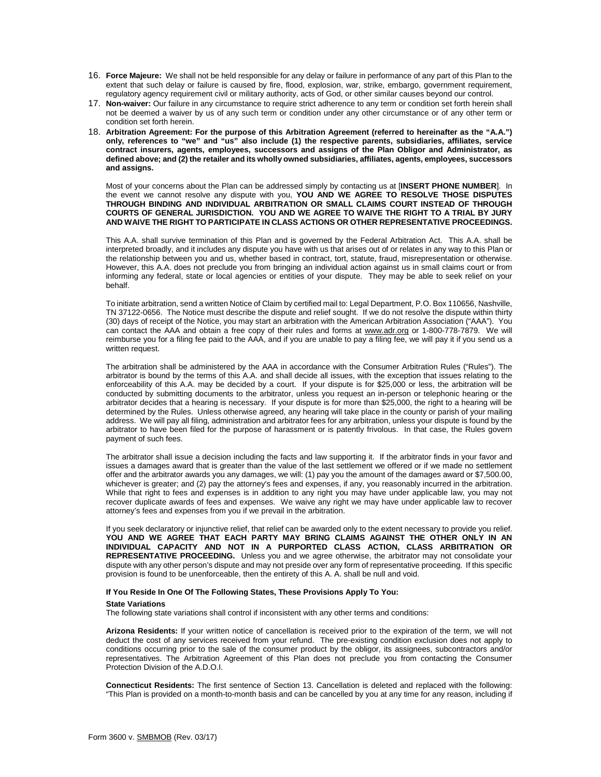- 16. **Force Majeure:** We shall not be held responsible for any delay or failure in performance of any part of this Plan to the extent that such delay or failure is caused by fire, flood, explosion, war, strike, embargo, government requirement, regulatory agency requirement civil or military authority, acts of God, or other similar causes beyond our control.
- 17. **Non-waiver:** Our failure in any circumstance to require strict adherence to any term or condition set forth herein shall not be deemed a waiver by us of any such term or condition under any other circumstance or of any other term or condition set forth herein.
- 18. **Arbitration Agreement: For the purpose of this Arbitration Agreement (referred to hereinafter as the "A.A.") only, references to "we" and "us" also include (1) the respective parents, subsidiaries, affiliates, service contract insurers, agents, employees, successors and assigns of the Plan Obligor and Administrator, as defined above; and (2) the retailer and its wholly owned subsidiaries, affiliates, agents, employees, successors and assigns.**

Most of your concerns about the Plan can be addressed simply by contacting us at [**INSERT PHONE NUMBER**]. In the event we cannot resolve any dispute with you, **YOU AND WE AGREE TO RESOLVE THOSE DISPUTES THROUGH BINDING AND INDIVIDUAL ARBITRATION OR SMALL CLAIMS COURT INSTEAD OF THROUGH COURTS OF GENERAL JURISDICTION. YOU AND WE AGREE TO WAIVE THE RIGHT TO A TRIAL BY JURY AND WAIVE THE RIGHT TO PARTICIPATE IN CLASS ACTIONS OR OTHER REPRESENTATIVE PROCEEDINGS.** 

This A.A. shall survive termination of this Plan and is governed by the Federal Arbitration Act. This A.A. shall be interpreted broadly, and it includes any dispute you have with us that arises out of or relates in any way to this Plan or the relationship between you and us, whether based in contract, tort, statute, fraud, misrepresentation or otherwise. However, this A.A. does not preclude you from bringing an individual action against us in small claims court or from informing any federal, state or local agencies or entities of your dispute. They may be able to seek relief on your behalf.

To initiate arbitration, send a written Notice of Claim by certified mail to: Legal Department, P.O. Box 110656, Nashville, TN 37122-0656. The Notice must describe the dispute and relief sought. If we do not resolve the dispute within thirty (30) days of receipt of the Notice, you may start an arbitration with the American Arbitration Association ("AAA"). You can contact the AAA and obtain a free copy of their rules and forms at [www.adr.org](http://www.adr.org/) or 1-800-778-7879. We will reimburse you for a filing fee paid to the AAA, and if you are unable to pay a filing fee, we will pay it if you send us a written request.

The arbitration shall be administered by the AAA in accordance with the Consumer Arbitration Rules ("Rules"). The arbitrator is bound by the terms of this A.A. and shall decide all issues, with the exception that issues relating to the enforceability of this A.A. may be decided by a court. If your dispute is for \$25,000 or less, the arbitration will be conducted by submitting documents to the arbitrator, unless you request an in-person or telephonic hearing or the arbitrator decides that a hearing is necessary. If your dispute is for more than \$25,000, the right to a hearing will be determined by the Rules. Unless otherwise agreed, any hearing will take place in the county or parish of your mailing address. We will pay all filing, administration and arbitrator fees for any arbitration, unless your dispute is found by the arbitrator to have been filed for the purpose of harassment or is patently frivolous. In that case, the Rules govern payment of such fees.

The arbitrator shall issue a decision including the facts and law supporting it. If the arbitrator finds in your favor and issues a damages award that is greater than the value of the last settlement we offered or if we made no settlement offer and the arbitrator awards you any damages, we will: (1) pay you the amount of the damages award or \$7,500.00, whichever is greater; and (2) pay the attorney's fees and expenses, if any, you reasonably incurred in the arbitration. While that right to fees and expenses is in addition to any right you may have under applicable law, you may not recover duplicate awards of fees and expenses. We waive any right we may have under applicable law to recover attorney's fees and expenses from you if we prevail in the arbitration.

If you seek declaratory or injunctive relief, that relief can be awarded only to the extent necessary to provide you relief. **YOU AND WE AGREE THAT EACH PARTY MAY BRING CLAIMS AGAINST THE OTHER ONLY IN AN INDIVIDUAL CAPACITY AND NOT IN A PURPORTED CLASS ACTION, CLASS ARBITRATION OR REPRESENTATIVE PROCEEDING.** Unless you and we agree otherwise, the arbitrator may not consolidate your dispute with any other person's dispute and may not preside over any form of representative proceeding. If this specific provision is found to be unenforceable, then the entirety of this A. A. shall be null and void.

## **If You Reside In One Of The Following States, These Provisions Apply To You:**

## **State Variations**

The following state variations shall control if inconsistent with any other terms and conditions:

**Arizona Residents:** If your written notice of cancellation is received prior to the expiration of the term, we will not deduct the cost of any services received from your refund. The pre-existing condition exclusion does not apply to conditions occurring prior to the sale of the consumer product by the obligor, its assignees, subcontractors and/or representatives. The Arbitration Agreement of this Plan does not preclude you from contacting the Consumer Protection Division of the A.D.O.I.

**Connecticut Residents:** The first sentence of Section 13. Cancellation is deleted and replaced with the following: "This Plan is provided on a month-to-month basis and can be cancelled by you at any time for any reason, including if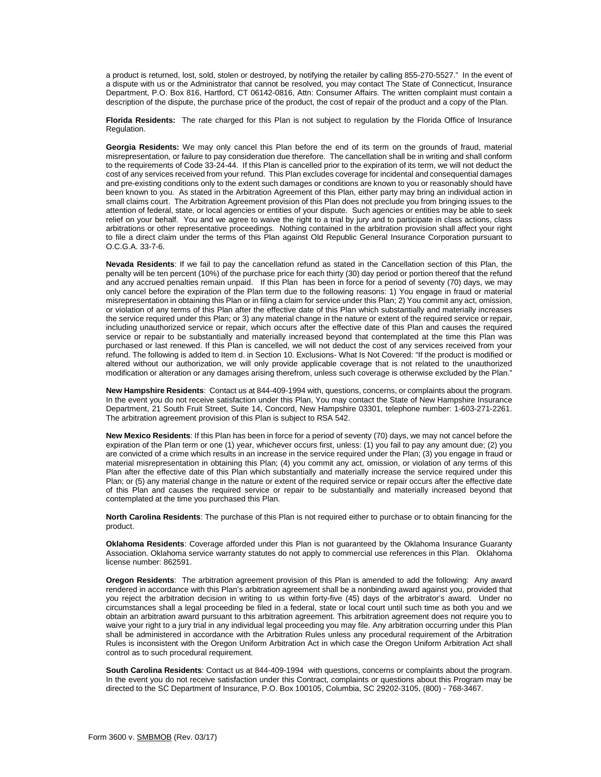a product is returned, lost, sold, stolen or destroyed, by notifying the retailer by calling 855-270-5527." In the event of a dispute with us or the Administrator that cannot be resolved, you may contact The State of Connecticut, Insurance Department, P.O. Box 816, Hartford, CT 06142-0816, Attn: Consumer Affairs. The written complaint must contain a description of the dispute, the purchase price of the product, the cost of repair of the product and a copy of the Plan.

**Florida Residents:** The rate charged for this Plan is not subject to regulation by the Florida Office of Insurance Regulation.

**Georgia Residents:** We may only cancel this Plan before the end of its term on the grounds of fraud, material misrepresentation, or failure to pay consideration due therefore. The cancellation shall be in writing and shall conform to the requirements of Code 33-24-44. If this Plan is cancelled prior to the expiration of its term, we will not deduct the cost of any services received from your refund. This Plan excludes coverage for incidental and consequential damages and pre-existing conditions only to the extent such damages or conditions are known to you or reasonably should have been known to you. As stated in the Arbitration Agreement of this Plan, either party may bring an individual action in small claims court. The Arbitration Agreement provision of this Plan does not preclude you from bringing issues to the attention of federal, state, or local agencies or entities of your dispute. Such agencies or entities may be able to seek relief on your behalf. You and we agree to waive the right to a trial by jury and to participate in class actions, class arbitrations or other representative proceedings. Nothing contained in the arbitration provision shall affect your right to file a direct claim under the terms of this Plan against Old Republic General Insurance Corporation pursuant to O.C.G.A. 33-7-6.

**Nevada Residents**: If we fail to pay the cancellation refund as stated in the Cancellation section of this Plan, the penalty will be ten percent (10%) of the purchase price for each thirty (30) day period or portion thereof that the refund and any accrued penalties remain unpaid. If this Plan has been in force for a period of seventy (70) days, we may only cancel before the expiration of the Plan term due to the following reasons: 1) You engage in fraud or material misrepresentation in obtaining this Plan or in filing a claim for service under this Plan; 2) You commit any act, omission, or violation of any terms of this Plan after the effective date of this Plan which substantially and materially increases the service required under this Plan; or 3) any material change in the nature or extent of the required service or repair, including unauthorized service or repair, which occurs after the effective date of this Plan and causes the required service or repair to be substantially and materially increased beyond that contemplated at the time this Plan was purchased or last renewed. If this Plan is cancelled, we will not deduct the cost of any services received from your refund. The following is added to Item d. in Section 10. Exclusions- What Is Not Covered: "If the product is modified or altered without our authorization, we will only provide applicable coverage that is not related to the unauthorized modification or alteration or any damages arising therefrom, unless such coverage is otherwise excluded by the Plan."

**New Hampshire Residents**: Contact us at 844-409-1994 with, questions, concerns, or complaints about the program. In the event you do not receive satisfaction under this Plan, You may contact the State of New Hampshire Insurance Department, 21 South Fruit Street, Suite 14, Concord, New Hampshire 03301, telephone number: 1-603-271-2261. The arbitration agreement provision of this Plan is subject to RSA 542.

**New Mexico Residents**: If this Plan has been in force for a period of seventy (70) days, we may not cancel before the expiration of the Plan term or one (1) year, whichever occurs first, unless: (1) you fail to pay any amount due; (2) you are convicted of a crime which results in an increase in the service required under the Plan; (3) you engage in fraud or material misrepresentation in obtaining this Plan; (4) you commit any act, omission, or violation of any terms of this Plan after the effective date of this Plan which substantially and materially increase the service required under this Plan; or (5) any material change in the nature or extent of the required service or repair occurs after the effective date of this Plan and causes the required service or repair to be substantially and materially increased beyond that contemplated at the time you purchased this Plan.

**North Carolina Residents**: The purchase of this Plan is not required either to purchase or to obtain financing for the product.

**Oklahoma Residents**: Coverage afforded under this Plan is not guaranteed by the Oklahoma Insurance Guaranty Association. Oklahoma service warranty statutes do not apply to commercial use references in this Plan. Oklahoma license number: 862591.

**Oregon Residents**: The arbitration agreement provision of this Plan is amended to add the following: Any award rendered in accordance with this Plan's arbitration agreement shall be a nonbinding award against you, provided that you reject the arbitration decision in writing to us within forty-five (45) days of the arbitrator's award. Under no circumstances shall a legal proceeding be filed in a federal, state or local court until such time as both you and we obtain an arbitration award pursuant to this arbitration agreement. This arbitration agreement does not require you to waive your right to a jury trial in any individual legal proceeding you may file. Any arbitration occurring under this Plan shall be administered in accordance with the Arbitration Rules unless any procedural requirement of the Arbitration Rules is inconsistent with the Oregon Uniform Arbitration Act in which case the Oregon Uniform Arbitration Act shall control as to such procedural requirement.

**South Carolina Residents**: Contact us at 844-409-1994 with questions, concerns or complaints about the program. In the event you do not receive satisfaction under this Contract, complaints or questions about this Program may be directed to the SC Department of Insurance, P.O. Box 100105, Columbia, SC 29202-3105, (800) - 768-3467.